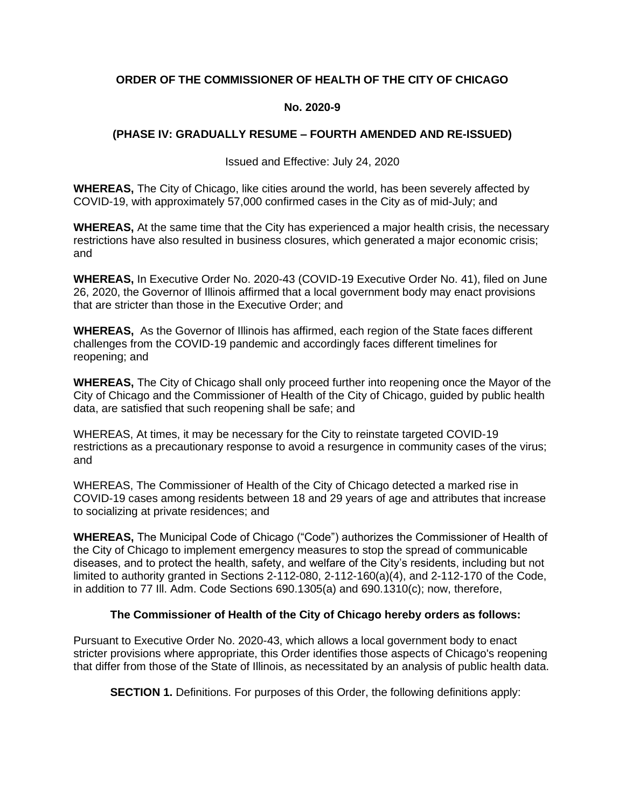# **ORDER OF THE COMMISSIONER OF HEALTH OF THE CITY OF CHICAGO**

#### **No. 2020-9**

## **(PHASE IV: GRADUALLY RESUME – FOURTH AMENDED AND RE-ISSUED)**

Issued and Effective: July 24, 2020

**WHEREAS,** The City of Chicago, like cities around the world, has been severely affected by COVID-19, with approximately 57,000 confirmed cases in the City as of mid-July; and

**WHEREAS,** At the same time that the City has experienced a major health crisis, the necessary restrictions have also resulted in business closures, which generated a major economic crisis; and

**WHEREAS,** In Executive Order No. 2020-43 (COVID-19 Executive Order No. 41), filed on June 26, 2020, the Governor of Illinois affirmed that a local government body may enact provisions that are stricter than those in the Executive Order; and

**WHEREAS,** As the Governor of Illinois has affirmed, each region of the State faces different challenges from the COVID-19 pandemic and accordingly faces different timelines for reopening; and

**WHEREAS,** The City of Chicago shall only proceed further into reopening once the Mayor of the City of Chicago and the Commissioner of Health of the City of Chicago, guided by public health data, are satisfied that such reopening shall be safe; and

WHEREAS, At times, it may be necessary for the City to reinstate targeted COVID-19 restrictions as a precautionary response to avoid a resurgence in community cases of the virus; and

WHEREAS, The Commissioner of Health of the City of Chicago detected a marked rise in COVID-19 cases among residents between 18 and 29 years of age and attributes that increase to socializing at private residences; and

**WHEREAS,** The Municipal Code of Chicago ("Code") authorizes the Commissioner of Health of the City of Chicago to implement emergency measures to stop the spread of communicable diseases, and to protect the health, safety, and welfare of the City's residents, including but not limited to authority granted in Sections 2-112-080, 2-112-160(a)(4), and 2-112-170 of the Code, in addition to 77 Ill. Adm. Code Sections 690.1305(a) and 690.1310(c); now, therefore,

## **The Commissioner of Health of the City of Chicago hereby orders as follows:**

Pursuant to Executive Order No. 2020-43, which allows a local government body to enact stricter provisions where appropriate, this Order identifies those aspects of Chicago's reopening that differ from those of the State of Illinois, as necessitated by an analysis of public health data.

**SECTION 1.** Definitions. For purposes of this Order, the following definitions apply: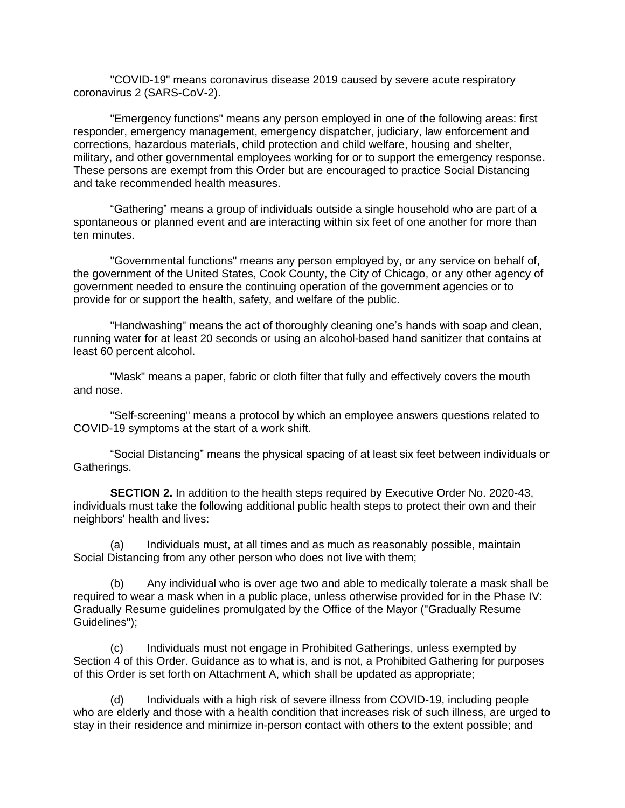"COVID-19" means coronavirus disease 2019 caused by severe acute respiratory coronavirus 2 (SARS-CoV-2).

"Emergency functions" means any person employed in one of the following areas: first responder, emergency management, emergency dispatcher, judiciary, law enforcement and corrections, hazardous materials, child protection and child welfare, housing and shelter, military, and other governmental employees working for or to support the emergency response. These persons are exempt from this Order but are encouraged to practice Social Distancing and take recommended health measures.

"Gathering" means a group of individuals outside a single household who are part of a spontaneous or planned event and are interacting within six feet of one another for more than ten minutes.

"Governmental functions" means any person employed by, or any service on behalf of, the government of the United States, Cook County, the City of Chicago, or any other agency of government needed to ensure the continuing operation of the government agencies or to provide for or support the health, safety, and welfare of the public.

"Handwashing" means the act of thoroughly cleaning one's hands with soap and clean, running water for at least 20 seconds or using an alcohol-based hand sanitizer that contains at least 60 percent alcohol.

"Mask" means a paper, fabric or cloth filter that fully and effectively covers the mouth and nose.

"Self-screening" means a protocol by which an employee answers questions related to COVID-19 symptoms at the start of a work shift.

"Social Distancing" means the physical spacing of at least six feet between individuals or Gatherings.

**SECTION 2.** In addition to the health steps required by Executive Order No. 2020-43, individuals must take the following additional public health steps to protect their own and their neighbors' health and lives:

(a) Individuals must, at all times and as much as reasonably possible, maintain Social Distancing from any other person who does not live with them;

(b) Any individual who is over age two and able to medically tolerate a mask shall be required to wear a mask when in a public place, unless otherwise provided for in the Phase IV: Gradually Resume guidelines promulgated by the Office of the Mayor ("Gradually Resume Guidelines");

(c) Individuals must not engage in Prohibited Gatherings, unless exempted by Section 4 of this Order. Guidance as to what is, and is not, a Prohibited Gathering for purposes of this Order is set forth on Attachment A, which shall be updated as appropriate;

(d) Individuals with a high risk of severe illness from COVID-19, including people who are elderly and those with a health condition that increases risk of such illness, are urged to stay in their residence and minimize in-person contact with others to the extent possible; and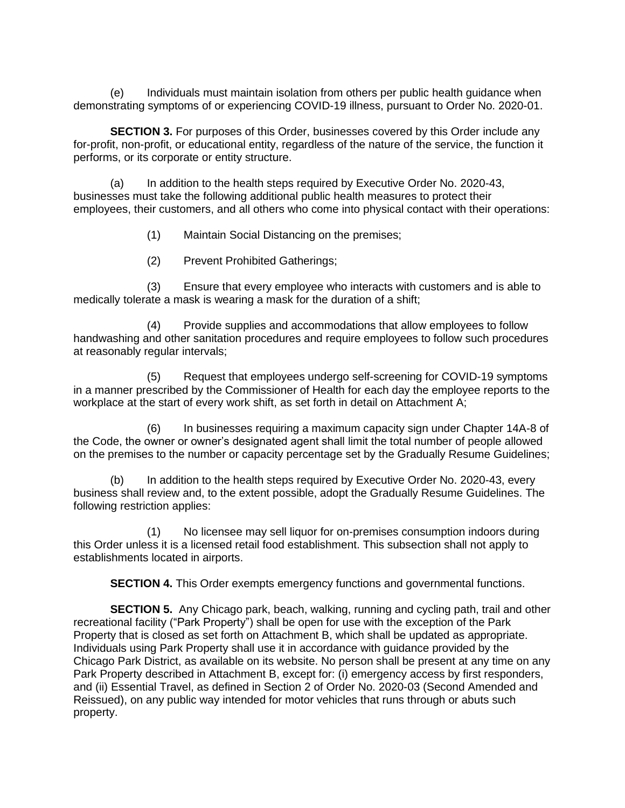(e) Individuals must maintain isolation from others per public health guidance when demonstrating symptoms of or experiencing COVID-19 illness, pursuant to Order No. 2020-01.

**SECTION 3.** For purposes of this Order, businesses covered by this Order include any for-profit, non-profit, or educational entity, regardless of the nature of the service, the function it performs, or its corporate or entity structure.

(a) In addition to the health steps required by Executive Order No. 2020-43, businesses must take the following additional public health measures to protect their employees, their customers, and all others who come into physical contact with their operations:

- (1) Maintain Social Distancing on the premises;
- (2) Prevent Prohibited Gatherings;

(3) Ensure that every employee who interacts with customers and is able to medically tolerate a mask is wearing a mask for the duration of a shift;

(4) Provide supplies and accommodations that allow employees to follow handwashing and other sanitation procedures and require employees to follow such procedures at reasonably regular intervals;

(5) Request that employees undergo self-screening for COVID-19 symptoms in a manner prescribed by the Commissioner of Health for each day the employee reports to the workplace at the start of every work shift, as set forth in detail on Attachment A;

(6) In businesses requiring a maximum capacity sign under Chapter 14A-8 of the Code, the owner or owner's designated agent shall limit the total number of people allowed on the premises to the number or capacity percentage set by the Gradually Resume Guidelines;

(b) In addition to the health steps required by Executive Order No. 2020-43, every business shall review and, to the extent possible, adopt the Gradually Resume Guidelines. The following restriction applies:

(1) No licensee may sell liquor for on-premises consumption indoors during this Order unless it is a licensed retail food establishment. This subsection shall not apply to establishments located in airports.

**SECTION 4.** This Order exempts emergency functions and governmental functions.

**SECTION 5.** Any Chicago park, beach, walking, running and cycling path, trail and other recreational facility ("Park Property") shall be open for use with the exception of the Park Property that is closed as set forth on Attachment B, which shall be updated as appropriate. Individuals using Park Property shall use it in accordance with guidance provided by the Chicago Park District, as available on its website. No person shall be present at any time on any Park Property described in Attachment B, except for: (i) emergency access by first responders, and (ii) Essential Travel, as defined in Section 2 of Order No. 2020-03 (Second Amended and Reissued), on any public way intended for motor vehicles that runs through or abuts such property.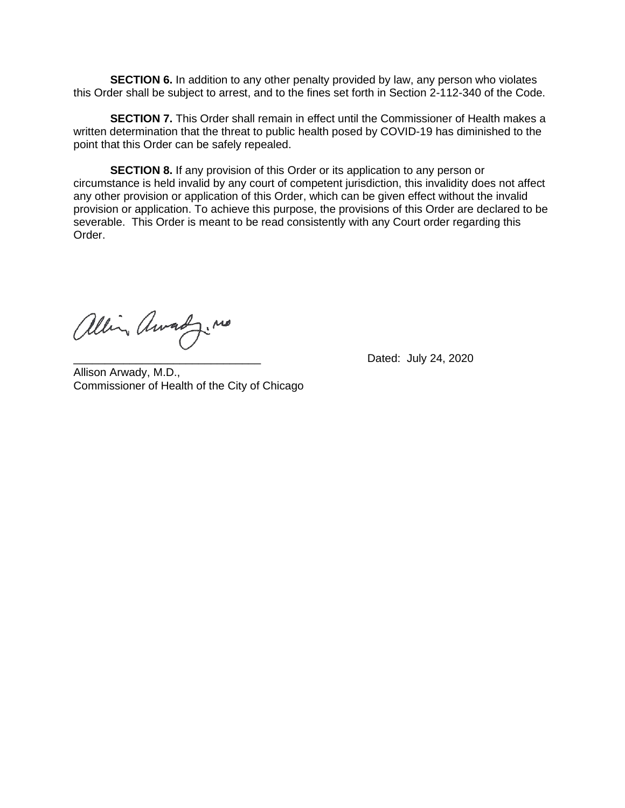**SECTION 6.** In addition to any other penalty provided by law, any person who violates this Order shall be subject to arrest, and to the fines set forth in Section 2-112-340 of the Code.

**SECTION 7.** This Order shall remain in effect until the Commissioner of Health makes a written determination that the threat to public health posed by COVID-19 has diminished to the point that this Order can be safely repealed.

**SECTION 8.** If any provision of this Order or its application to any person or circumstance is held invalid by any court of competent jurisdiction, this invalidity does not affect any other provision or application of this Order, which can be given effect without the invalid provision or application. To achieve this purpose, the provisions of this Order are declared to be severable. This Order is meant to be read consistently with any Court order regarding this Order.

allin Awardy. no

Dated: July 24, 2020

Allison Arwady, M.D., Commissioner of Health of the City of Chicago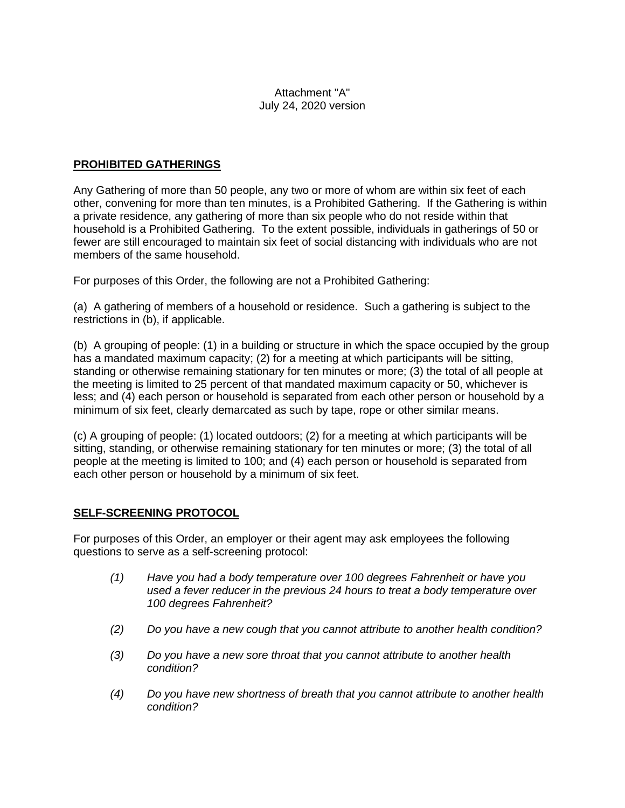#### Attachment "A" July 24, 2020 version

## **PROHIBITED GATHERINGS**

Any Gathering of more than 50 people, any two or more of whom are within six feet of each other, convening for more than ten minutes, is a Prohibited Gathering. If the Gathering is within a private residence, any gathering of more than six people who do not reside within that household is a Prohibited Gathering. To the extent possible, individuals in gatherings of 50 or fewer are still encouraged to maintain six feet of social distancing with individuals who are not members of the same household.

For purposes of this Order, the following are not a Prohibited Gathering:

(a) A gathering of members of a household or residence. Such a gathering is subject to the restrictions in (b), if applicable.

(b) A grouping of people: (1) in a building or structure in which the space occupied by the group has a mandated maximum capacity; (2) for a meeting at which participants will be sitting, standing or otherwise remaining stationary for ten minutes or more; (3) the total of all people at the meeting is limited to 25 percent of that mandated maximum capacity or 50, whichever is less; and (4) each person or household is separated from each other person or household by a minimum of six feet, clearly demarcated as such by tape, rope or other similar means.

(c) A grouping of people: (1) located outdoors; (2) for a meeting at which participants will be sitting, standing, or otherwise remaining stationary for ten minutes or more; (3) the total of all people at the meeting is limited to 100; and (4) each person or household is separated from each other person or household by a minimum of six feet.

## **SELF-SCREENING PROTOCOL**

For purposes of this Order, an employer or their agent may ask employees the following questions to serve as a self-screening protocol:

- *(1) Have you had a body temperature over 100 degrees Fahrenheit or have you used a fever reducer in the previous 24 hours to treat a body temperature over 100 degrees Fahrenheit?*
- *(2) Do you have a new cough that you cannot attribute to another health condition?*
- *(3) Do you have a new sore throat that you cannot attribute to another health condition?*
- *(4) Do you have new shortness of breath that you cannot attribute to another health condition?*